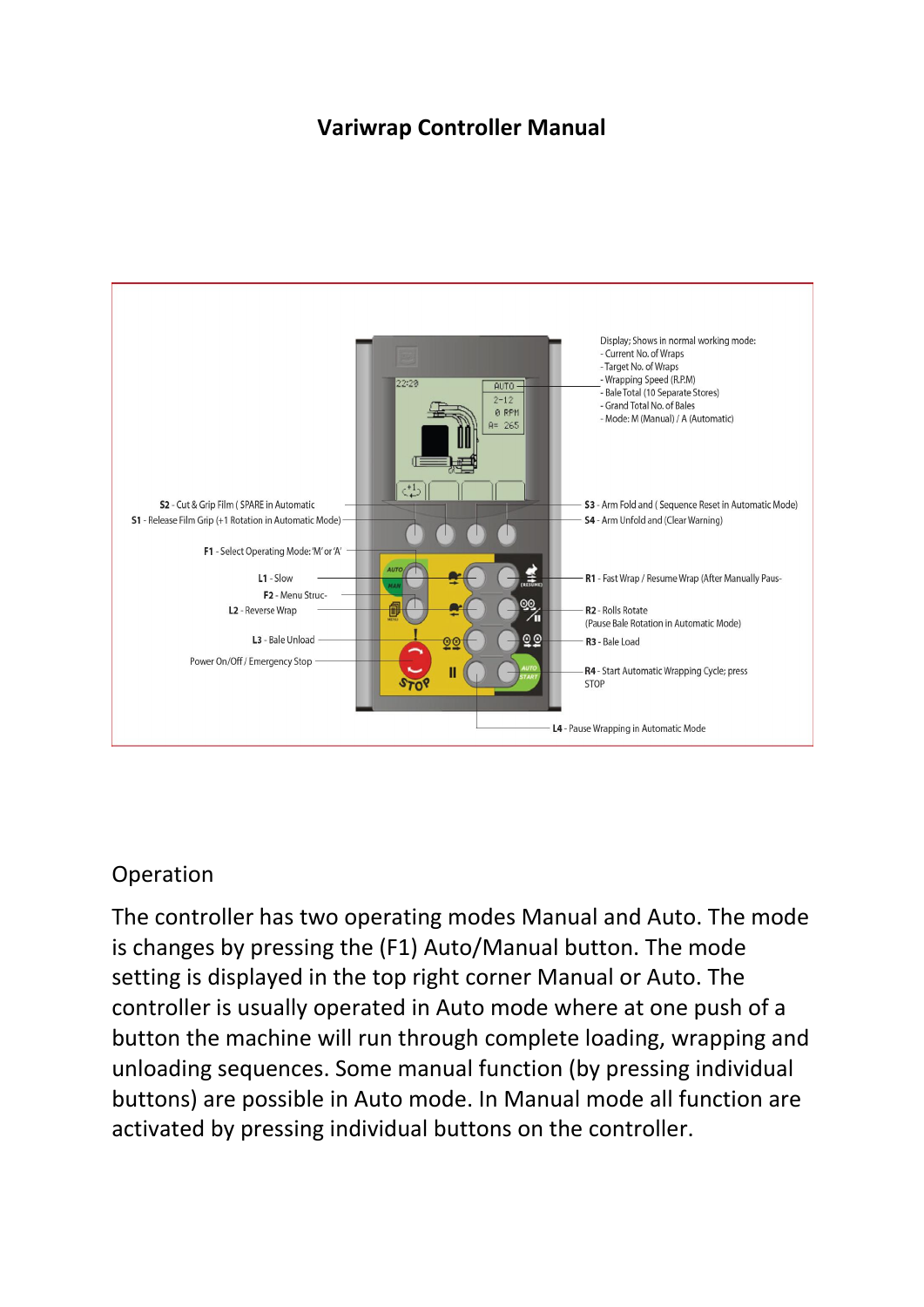# **Variwrap Controller Manual**



# Operation

The controller has two operating modes Manual and Auto. The mode is changes by pressing the (F1) Auto/Manual button. The mode setting is displayed in the top right corner Manual or Auto. The controller is usually operated in Auto mode where at one push of a button the machine will run through complete loading, wrapping and unloading sequences. Some manual function (by pressing individual buttons) are possible in Auto mode. In Manual mode all function are activated by pressing individual buttons on the controller.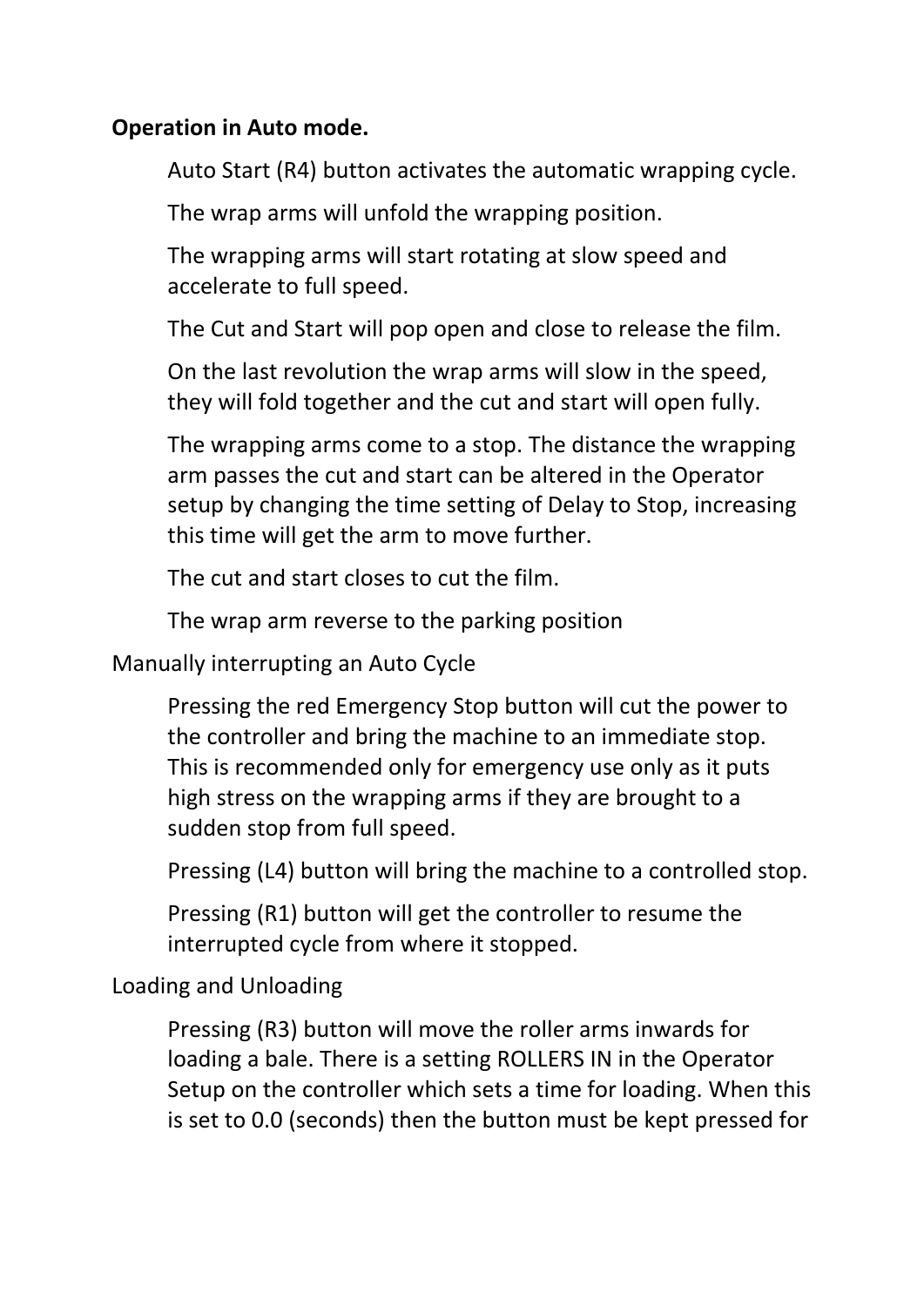### **Operation in Auto mode.**

Auto Start (R4) button activates the automatic wrapping cycle.

The wrap arms will unfold the wrapping position.

The wrapping arms will start rotating at slow speed and accelerate to full speed.

The Cut and Start will pop open and close to release the film.

On the last revolution the wrap arms will slow in the speed, they will fold together and the cut and start will open fully.

The wrapping arms come to a stop. The distance the wrapping arm passes the cut and start can be altered in the Operator setup by changing the time setting of Delay to Stop, increasing this time will get the arm to move further.

The cut and start closes to cut the film.

The wrap arm reverse to the parking position

Manually interrupting an Auto Cycle

Pressing the red Emergency Stop button will cut the power to the controller and bring the machine to an immediate stop. This is recommended only for emergency use only as it puts high stress on the wrapping arms if they are brought to a sudden stop from full speed.

Pressing (L4) button will bring the machine to a controlled stop.

Pressing (R1) button will get the controller to resume the interrupted cycle from where it stopped.

Loading and Unloading

Pressing (R3) button will move the roller arms inwards for loading a bale. There is a setting ROLLERS IN in the Operator Setup on the controller which sets a time for loading. When this is set to 0.0 (seconds) then the button must be kept pressed for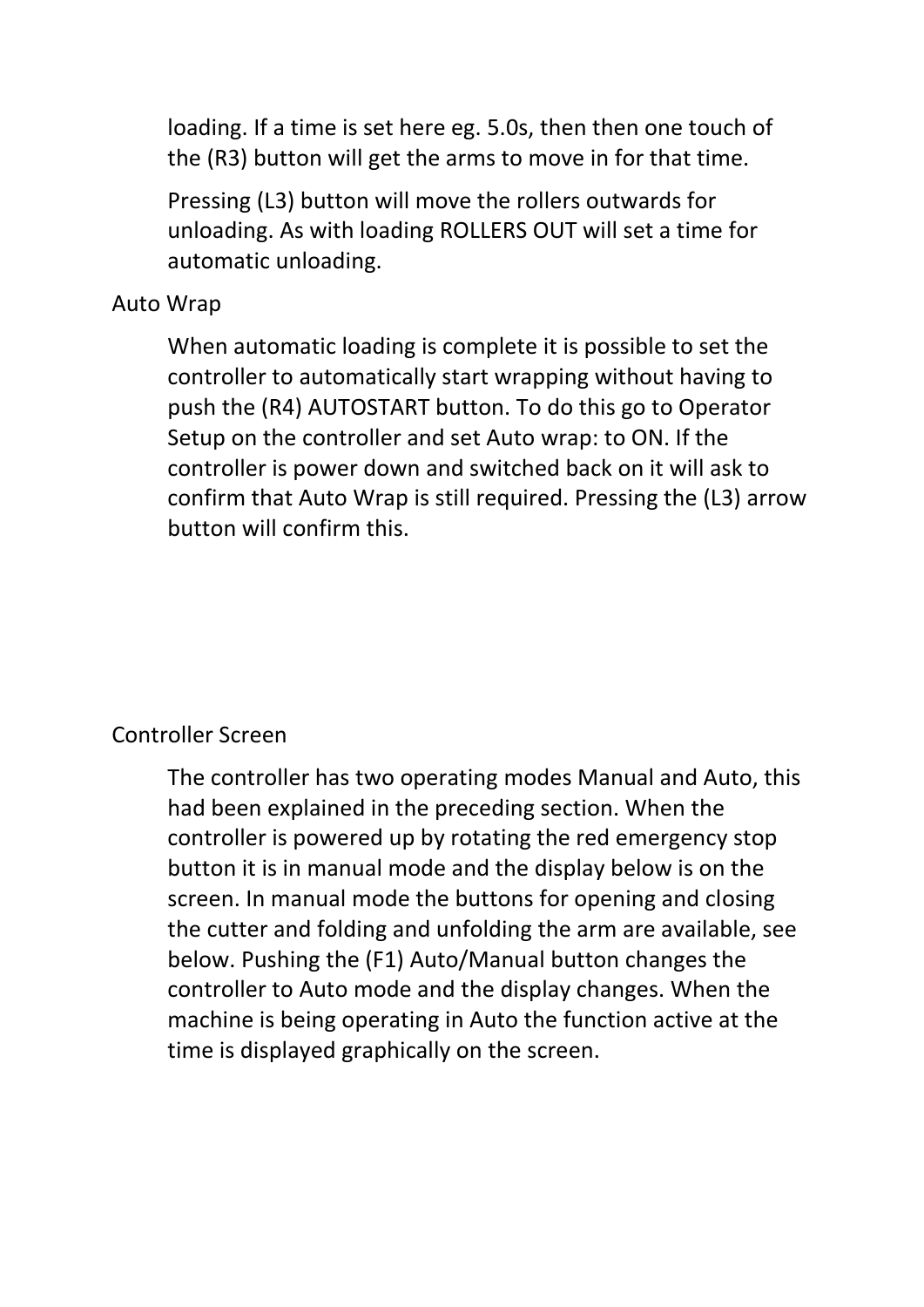loading. If a time is set here eg. 5.0s, then then one touch of the (R3) button will get the arms to move in for that time.

Pressing (L3) button will move the rollers outwards for unloading. As with loading ROLLERS OUT will set a time for automatic unloading.

### Auto Wrap

When automatic loading is complete it is possible to set the controller to automatically start wrapping without having to push the (R4) AUTOSTART button. To do this go to Operator Setup on the controller and set Auto wrap: to ON. If the controller is power down and switched back on it will ask to confirm that Auto Wrap is still required. Pressing the (L3) arrow button will confirm this.

# Controller Screen

The controller has two operating modes Manual and Auto, this had been explained in the preceding section. When the controller is powered up by rotating the red emergency stop button it is in manual mode and the display below is on the screen. In manual mode the buttons for opening and closing the cutter and folding and unfolding the arm are available, see below. Pushing the (F1) Auto/Manual button changes the controller to Auto mode and the display changes. When the machine is being operating in Auto the function active at the time is displayed graphically on the screen.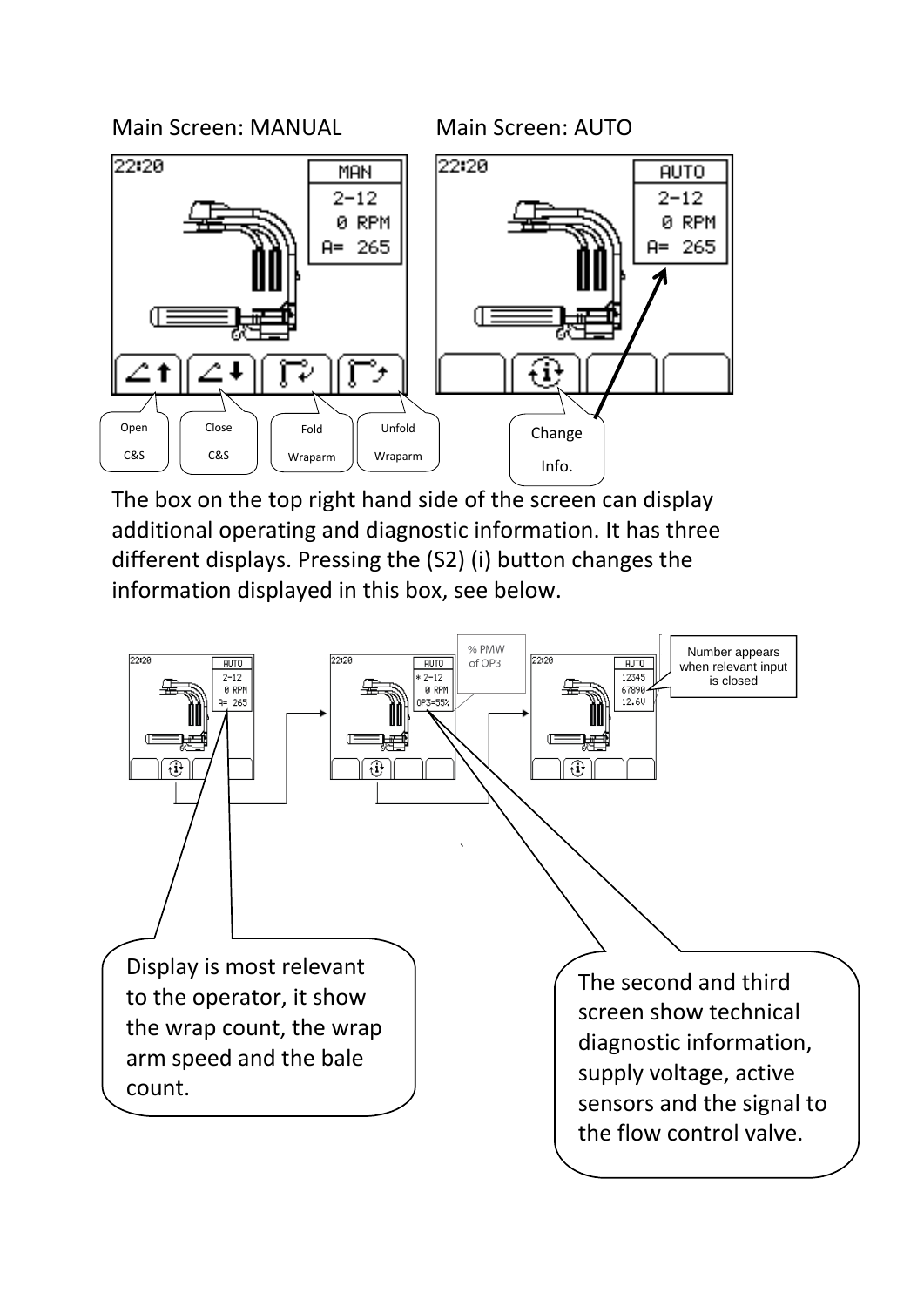



The box on the top right hand side of the screen can display additional operating and diagnostic information. It has three different displays. Pressing the (S2) (i) button changes the information displayed in this box, see below.

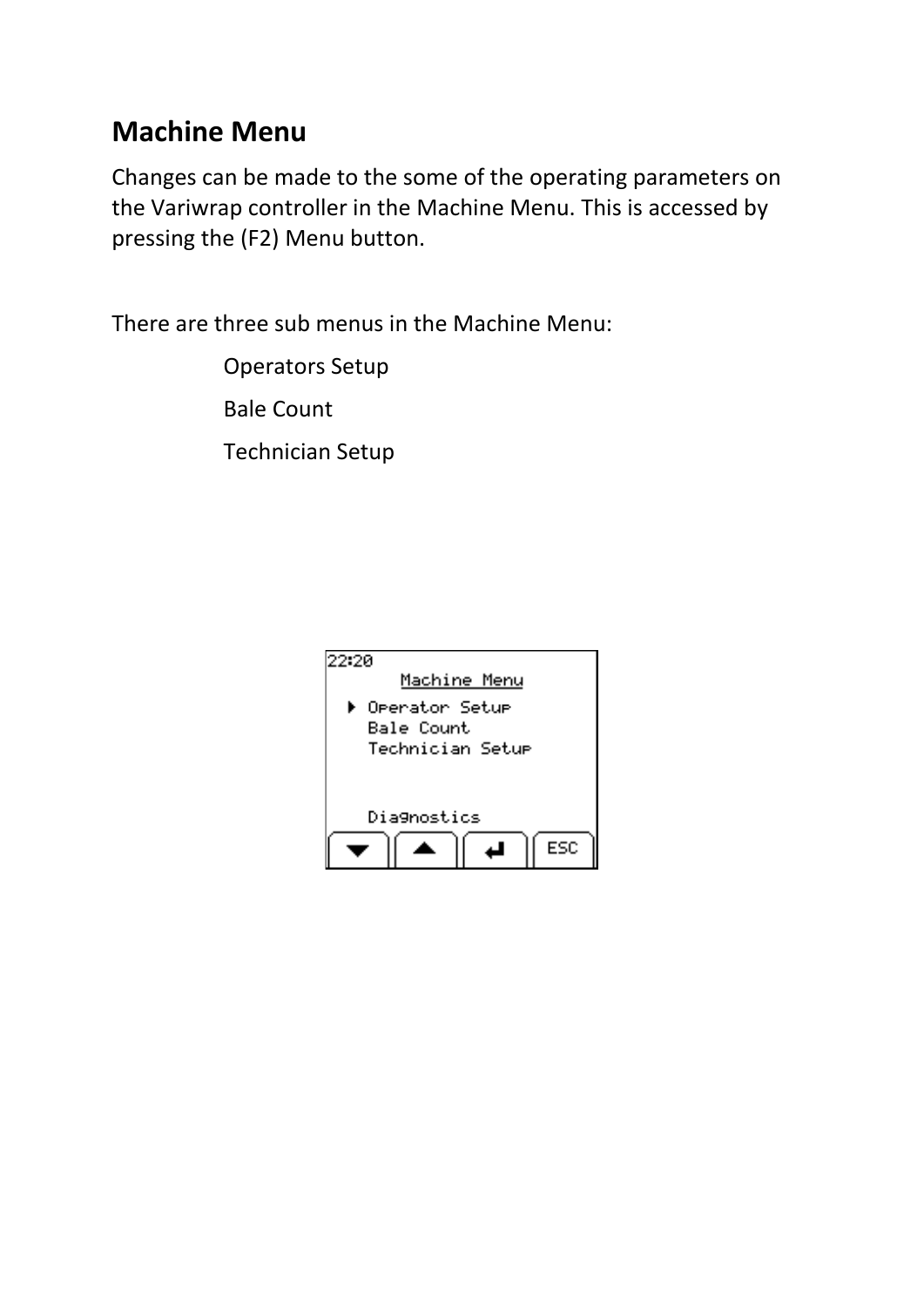# **Machine Menu**

Changes can be made to the some of the operating parameters on the Variwrap controller in the Machine Menu. This is accessed by pressing the (F2) Menu button.

There are three sub menus in the Machine Menu:

Operators Setup Bale Count

Technician Setup

| 22:2A | Machine Menu                                                          |
|-------|-----------------------------------------------------------------------|
|       | <b>M</b> Oeerator Setue<br>Bale Count<br>Technician Setu <del>r</del> |
|       | Diagnostics                                                           |
|       | FSC                                                                   |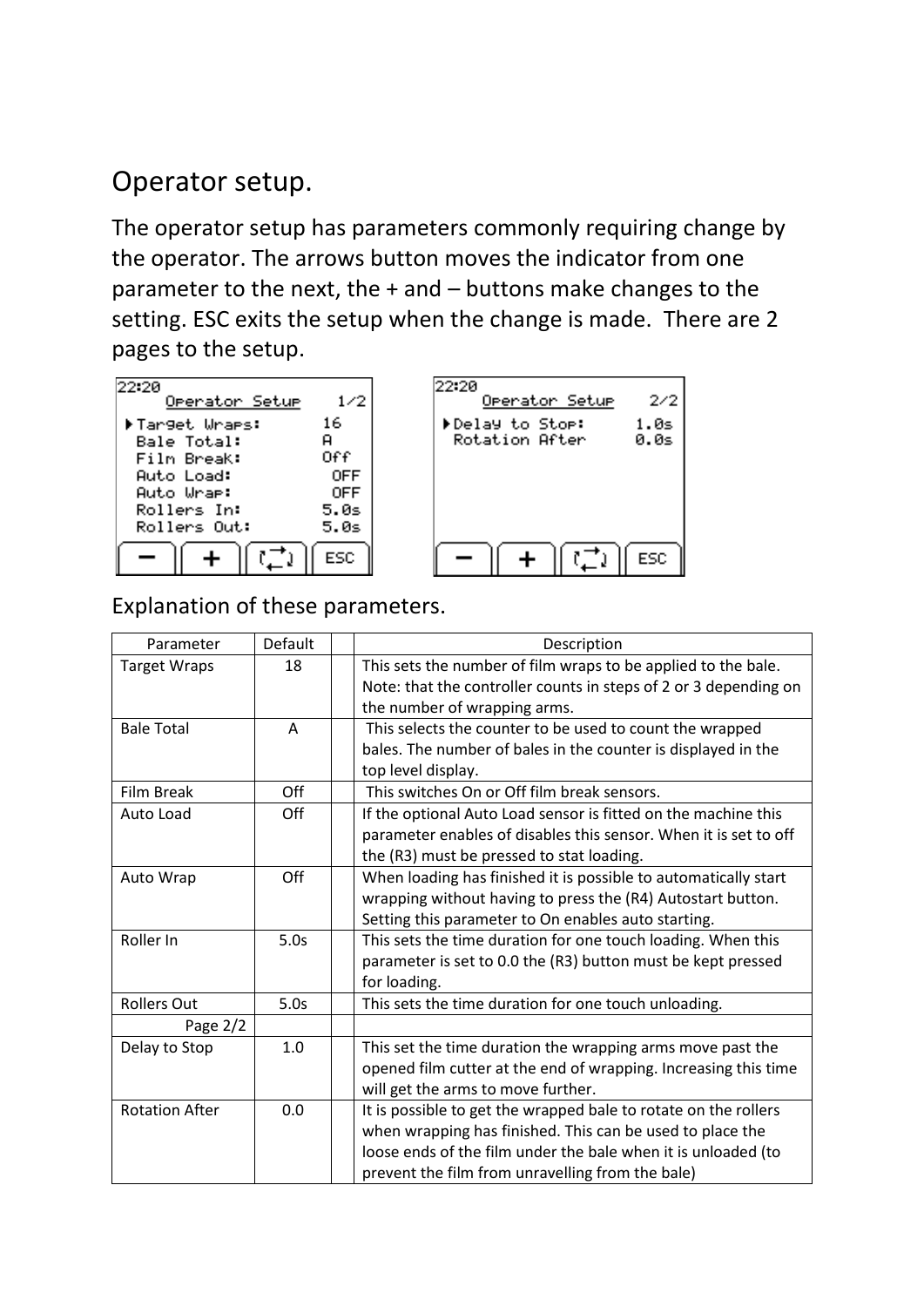# Operator setup.

The operator setup has parameters commonly requiring change by the operator. The arrows button moves the indicator from one parameter to the next, the + and – buttons make changes to the setting. ESC exits the setup when the change is made. There are 2 pages to the setup.

| 22.20<br>Operator Setup | 1/2        |
|-------------------------|------------|
| ▶Target Wraes:          | 16         |
| <b>Bale Total:</b>      | я          |
| Film Break:             | Off        |
| Auto Load:              | <b>OFF</b> |
| Auto Wrae:              | 0FF        |
| Rollers In:             | 5.0s       |
| Rollers Out:            | 5.0s       |
|                         | ESC        |



### Explanation of these parameters.

| Parameter             | Default | Description                                                      |
|-----------------------|---------|------------------------------------------------------------------|
| <b>Target Wraps</b>   | 18      | This sets the number of film wraps to be applied to the bale.    |
|                       |         | Note: that the controller counts in steps of 2 or 3 depending on |
|                       |         | the number of wrapping arms.                                     |
| <b>Bale Total</b>     | A       | This selects the counter to be used to count the wrapped         |
|                       |         | bales. The number of bales in the counter is displayed in the    |
|                       |         | top level display.                                               |
| <b>Film Break</b>     | Off     | This switches On or Off film break sensors.                      |
| Auto Load             | Off     | If the optional Auto Load sensor is fitted on the machine this   |
|                       |         | parameter enables of disables this sensor. When it is set to off |
|                       |         | the (R3) must be pressed to stat loading.                        |
| Auto Wrap             | Off     | When loading has finished it is possible to automatically start  |
|                       |         | wrapping without having to press the (R4) Autostart button.      |
|                       |         | Setting this parameter to On enables auto starting.              |
| Roller In             | 5.0s    | This sets the time duration for one touch loading. When this     |
|                       |         | parameter is set to 0.0 the (R3) button must be kept pressed     |
|                       |         | for loading.                                                     |
| <b>Rollers Out</b>    | 5.0s    | This sets the time duration for one touch unloading.             |
| Page 2/2              |         |                                                                  |
| Delay to Stop         | 1.0     | This set the time duration the wrapping arms move past the       |
|                       |         | opened film cutter at the end of wrapping. Increasing this time  |
|                       |         | will get the arms to move further.                               |
| <b>Rotation After</b> | 0.0     | It is possible to get the wrapped bale to rotate on the rollers  |
|                       |         | when wrapping has finished. This can be used to place the        |
|                       |         | loose ends of the film under the bale when it is unloaded (to    |
|                       |         | prevent the film from unravelling from the bale)                 |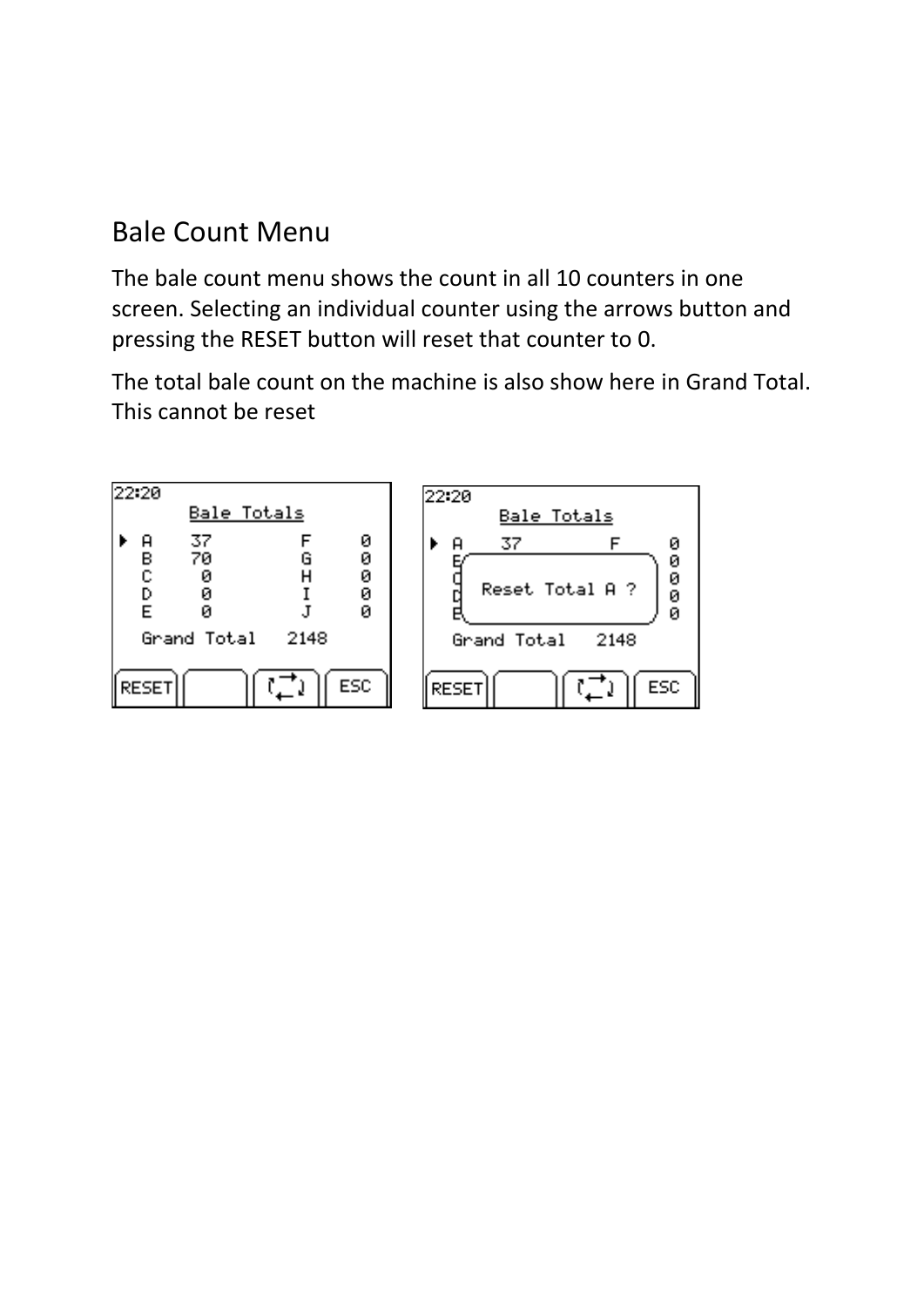# Bale Count Menu

The bale count menu shows the count in all 10 counters in one screen. Selecting an individual counter using the arrows button and pressing the RESET button will reset that counter to 0.

The total bale count on the machine is also show here in Grand Total. This cannot be reset

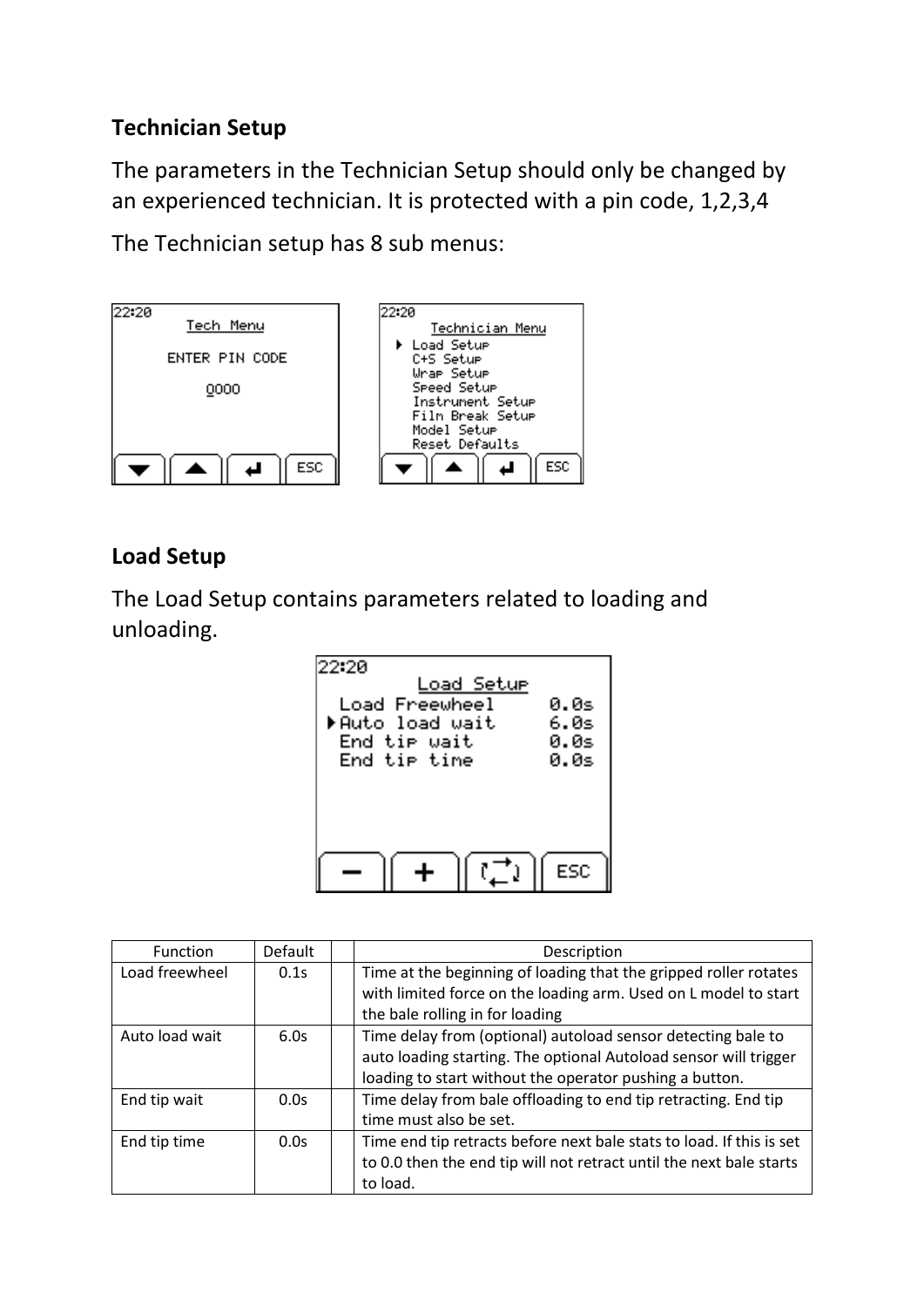## **Technician Setup**

The parameters in the Technician Setup should only be changed by an experienced technician. It is protected with a pin code, 1,2,3,4

The Technician setup has 8 sub menus:



# **Load Setup**

The Load Setup contains parameters related to loading and unloading.



| <b>Function</b> | Default | Description                                                          |
|-----------------|---------|----------------------------------------------------------------------|
| Load freewheel  | 0.1s    | Time at the beginning of loading that the gripped roller rotates     |
|                 |         | with limited force on the loading arm. Used on L model to start      |
|                 |         | the bale rolling in for loading                                      |
| Auto load wait  | 6.0s    | Time delay from (optional) autoload sensor detecting bale to         |
|                 |         | auto loading starting. The optional Autoload sensor will trigger     |
|                 |         | loading to start without the operator pushing a button.              |
| End tip wait    | 0.0s    | Time delay from bale offloading to end tip retracting. End tip       |
|                 |         | time must also be set.                                               |
| End tip time    | 0.0s    | Time end tip retracts before next bale stats to load. If this is set |
|                 |         | to 0.0 then the end tip will not retract until the next bale starts  |
|                 |         | to load.                                                             |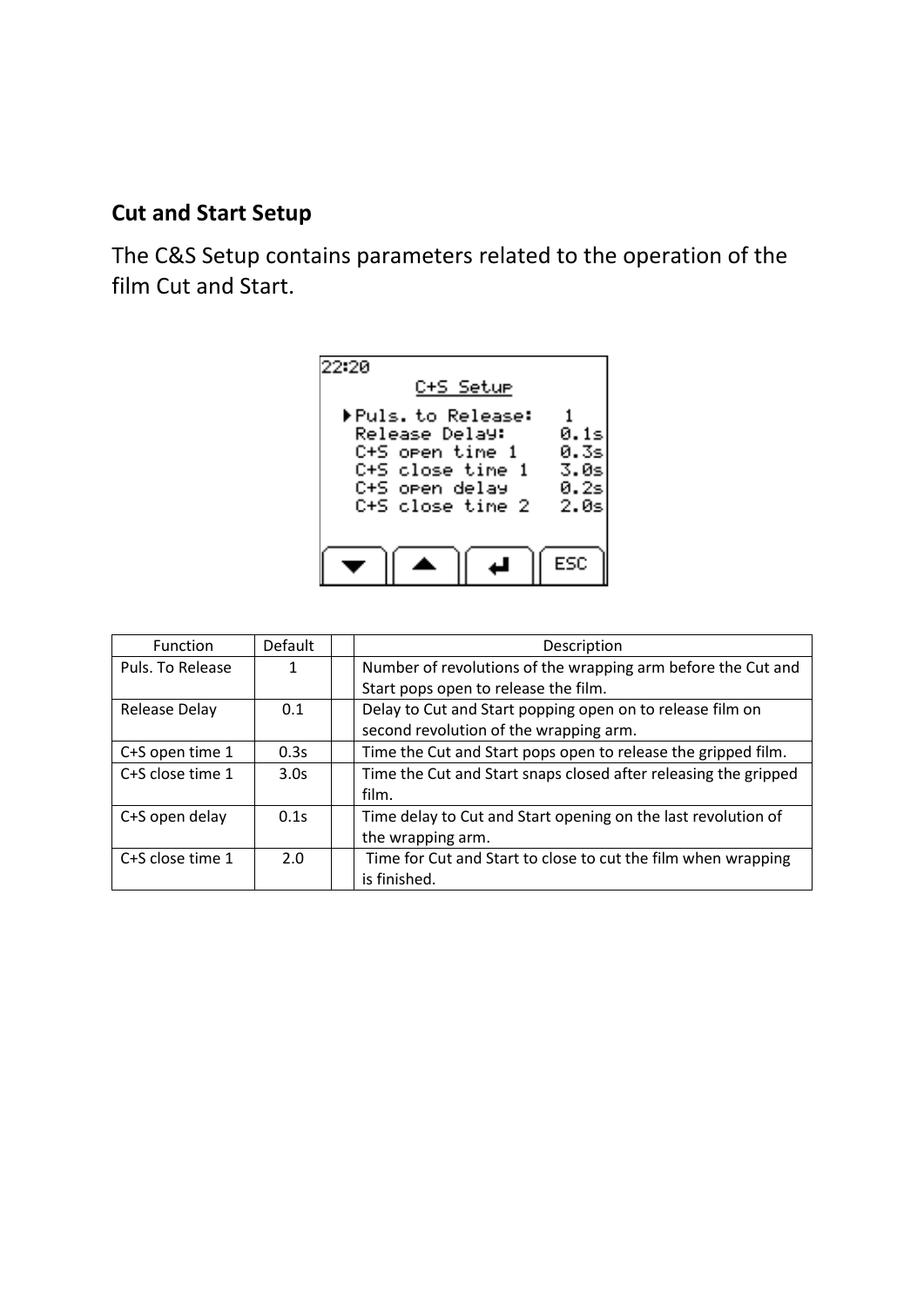### **Cut and Start Setup**

The C&S Setup contains parameters related to the operation of the film Cut and Start.



| <b>Function</b>  | Default | Description                                                     |
|------------------|---------|-----------------------------------------------------------------|
| Puls. To Release |         | Number of revolutions of the wrapping arm before the Cut and    |
|                  |         | Start pops open to release the film.                            |
| Release Delay    | 0.1     | Delay to Cut and Start popping open on to release film on       |
|                  |         | second revolution of the wrapping arm.                          |
| C+S open time 1  | 0.3s    | Time the Cut and Start pops open to release the gripped film.   |
| C+S close time 1 | 3.0s    | Time the Cut and Start snaps closed after releasing the gripped |
|                  |         | film.                                                           |
| C+S open delay   | 0.1s    | Time delay to Cut and Start opening on the last revolution of   |
|                  |         | the wrapping arm.                                               |
| C+S close time 1 | 2.0     | Time for Cut and Start to close to cut the film when wrapping   |
|                  |         | is finished.                                                    |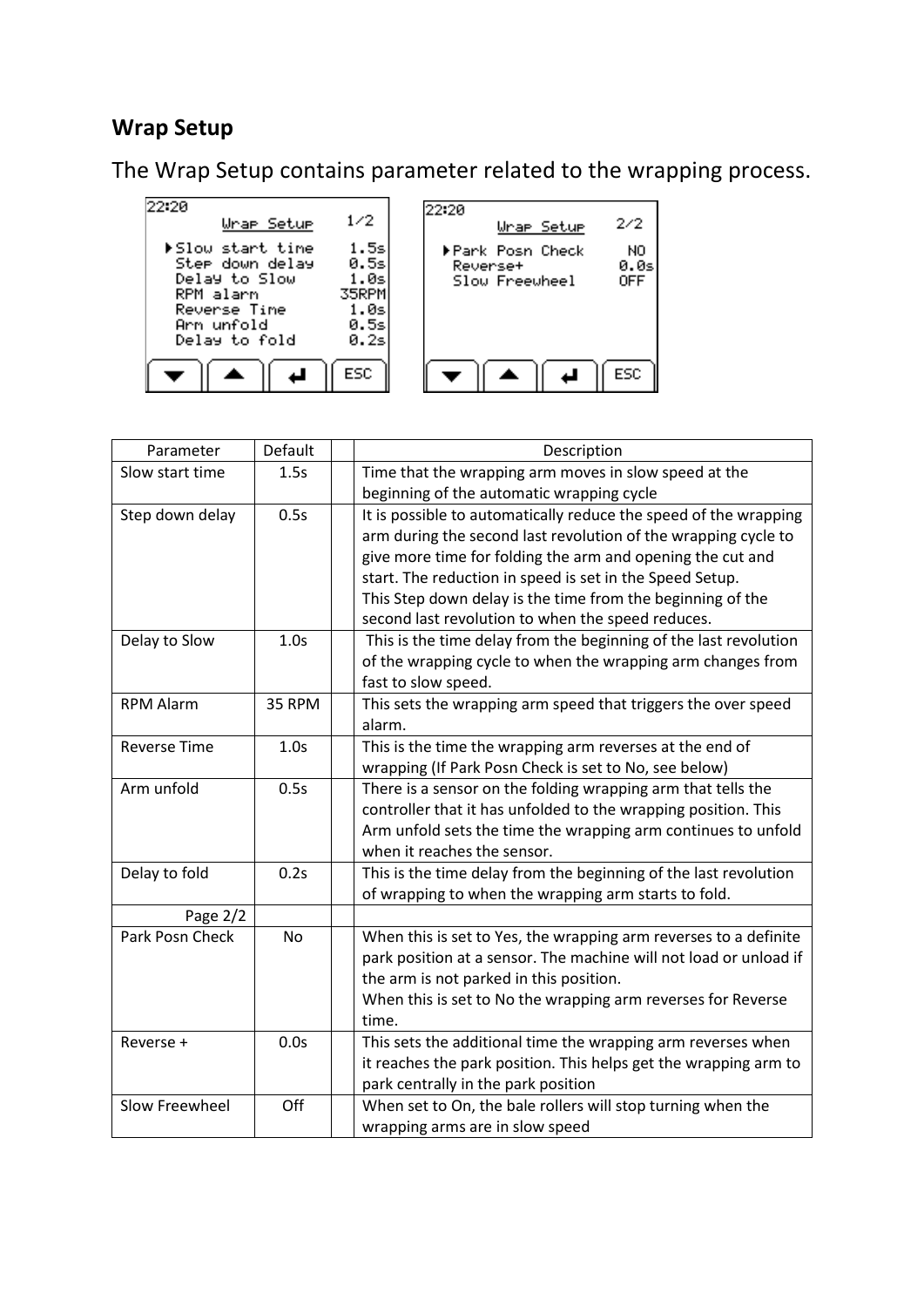#### **Wrap Setup**

The Wrap Setup contains parameter related to the wrapping process.



| Parameter           | Default   | Description                                                       |
|---------------------|-----------|-------------------------------------------------------------------|
| Slow start time     | 1.5s      | Time that the wrapping arm moves in slow speed at the             |
|                     |           | beginning of the automatic wrapping cycle                         |
| Step down delay     | 0.5s      | It is possible to automatically reduce the speed of the wrapping  |
|                     |           | arm during the second last revolution of the wrapping cycle to    |
|                     |           | give more time for folding the arm and opening the cut and        |
|                     |           | start. The reduction in speed is set in the Speed Setup.          |
|                     |           | This Step down delay is the time from the beginning of the        |
|                     |           | second last revolution to when the speed reduces.                 |
| Delay to Slow       | 1.0s      | This is the time delay from the beginning of the last revolution  |
|                     |           | of the wrapping cycle to when the wrapping arm changes from       |
|                     |           | fast to slow speed.                                               |
| <b>RPM Alarm</b>    | 35 RPM    | This sets the wrapping arm speed that triggers the over speed     |
|                     |           | alarm.                                                            |
| <b>Reverse Time</b> | 1.0s      | This is the time the wrapping arm reverses at the end of          |
|                     |           | wrapping (If Park Posn Check is set to No, see below)             |
| Arm unfold          | 0.5s      | There is a sensor on the folding wrapping arm that tells the      |
|                     |           | controller that it has unfolded to the wrapping position. This    |
|                     |           | Arm unfold sets the time the wrapping arm continues to unfold     |
|                     |           | when it reaches the sensor.                                       |
| Delay to fold       | 0.2s      | This is the time delay from the beginning of the last revolution  |
|                     |           | of wrapping to when the wrapping arm starts to fold.              |
| Page 2/2            |           |                                                                   |
| Park Posn Check     | <b>No</b> | When this is set to Yes, the wrapping arm reverses to a definite  |
|                     |           | park position at a sensor. The machine will not load or unload if |
|                     |           | the arm is not parked in this position.                           |
|                     |           | When this is set to No the wrapping arm reverses for Reverse      |
|                     |           | time.                                                             |
| Reverse +           | 0.0s      | This sets the additional time the wrapping arm reverses when      |
|                     |           | it reaches the park position. This helps get the wrapping arm to  |
|                     |           | park centrally in the park position                               |
| Slow Freewheel      | Off       | When set to On, the bale rollers will stop turning when the       |
|                     |           | wrapping arms are in slow speed                                   |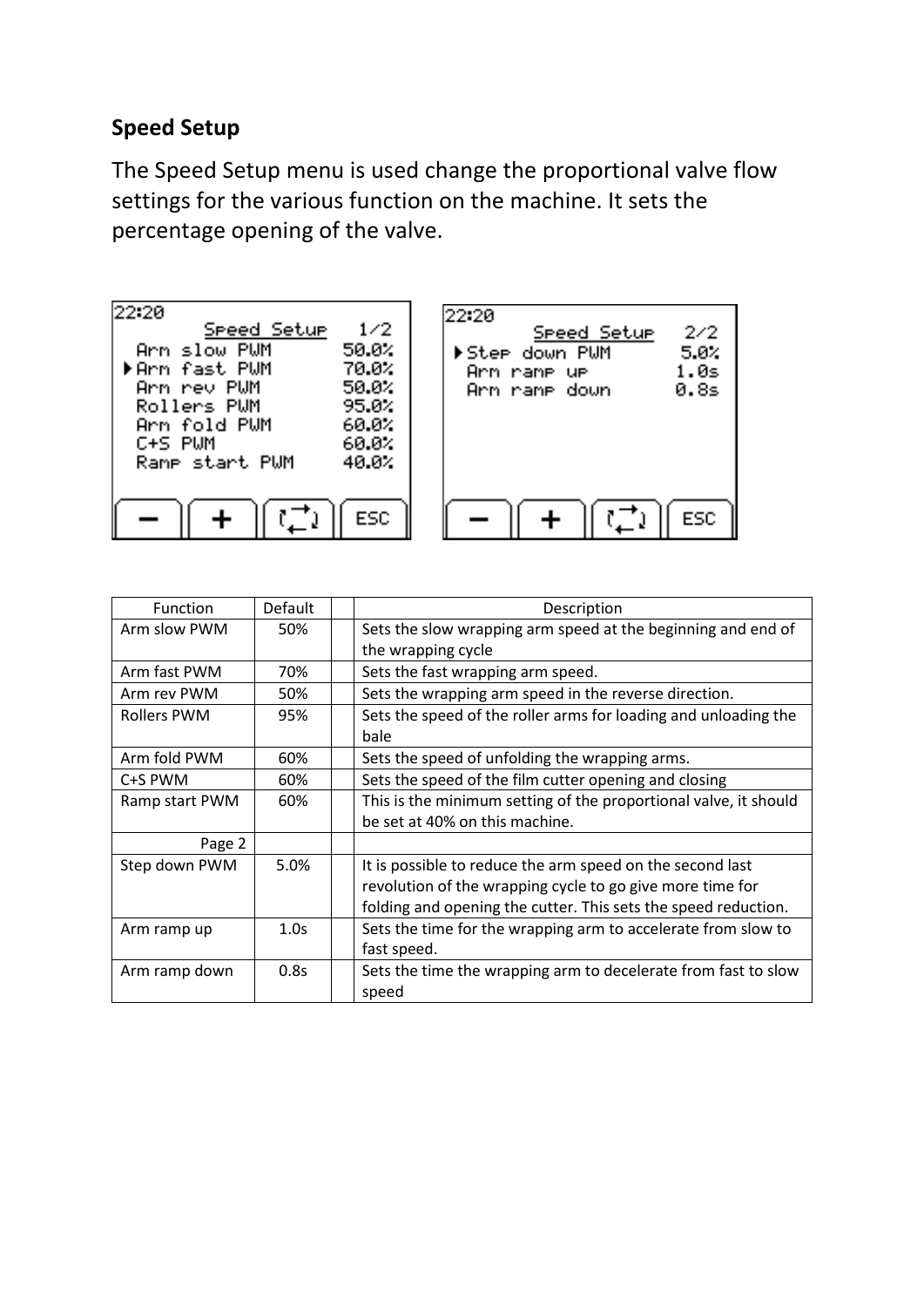### **Speed Setup**

The Speed Setup menu is used change the proportional valve flow settings for the various function on the machine. It sets the percentage opening of the valve.



| <b>Function</b> | Default | Description                                                      |
|-----------------|---------|------------------------------------------------------------------|
| Arm slow PWM    | 50%     | Sets the slow wrapping arm speed at the beginning and end of     |
|                 |         | the wrapping cycle                                               |
| Arm fast PWM    | 70%     | Sets the fast wrapping arm speed.                                |
| Arm rev PWM     | 50%     | Sets the wrapping arm speed in the reverse direction.            |
| Rollers PWM     | 95%     | Sets the speed of the roller arms for loading and unloading the  |
|                 |         | bale                                                             |
| Arm fold PWM    | 60%     | Sets the speed of unfolding the wrapping arms.                   |
| C+S PWM         | 60%     | Sets the speed of the film cutter opening and closing            |
| Ramp start PWM  | 60%     | This is the minimum setting of the proportional valve, it should |
|                 |         | be set at 40% on this machine.                                   |
| Page 2          |         |                                                                  |
| Step down PWM   | 5.0%    | It is possible to reduce the arm speed on the second last        |
|                 |         | revolution of the wrapping cycle to go give more time for        |
|                 |         | folding and opening the cutter. This sets the speed reduction.   |
| Arm ramp up     | 1.0s    | Sets the time for the wrapping arm to accelerate from slow to    |
|                 |         | fast speed.                                                      |
| Arm ramp down   | 0.8s    | Sets the time the wrapping arm to decelerate from fast to slow   |
|                 |         | speed                                                            |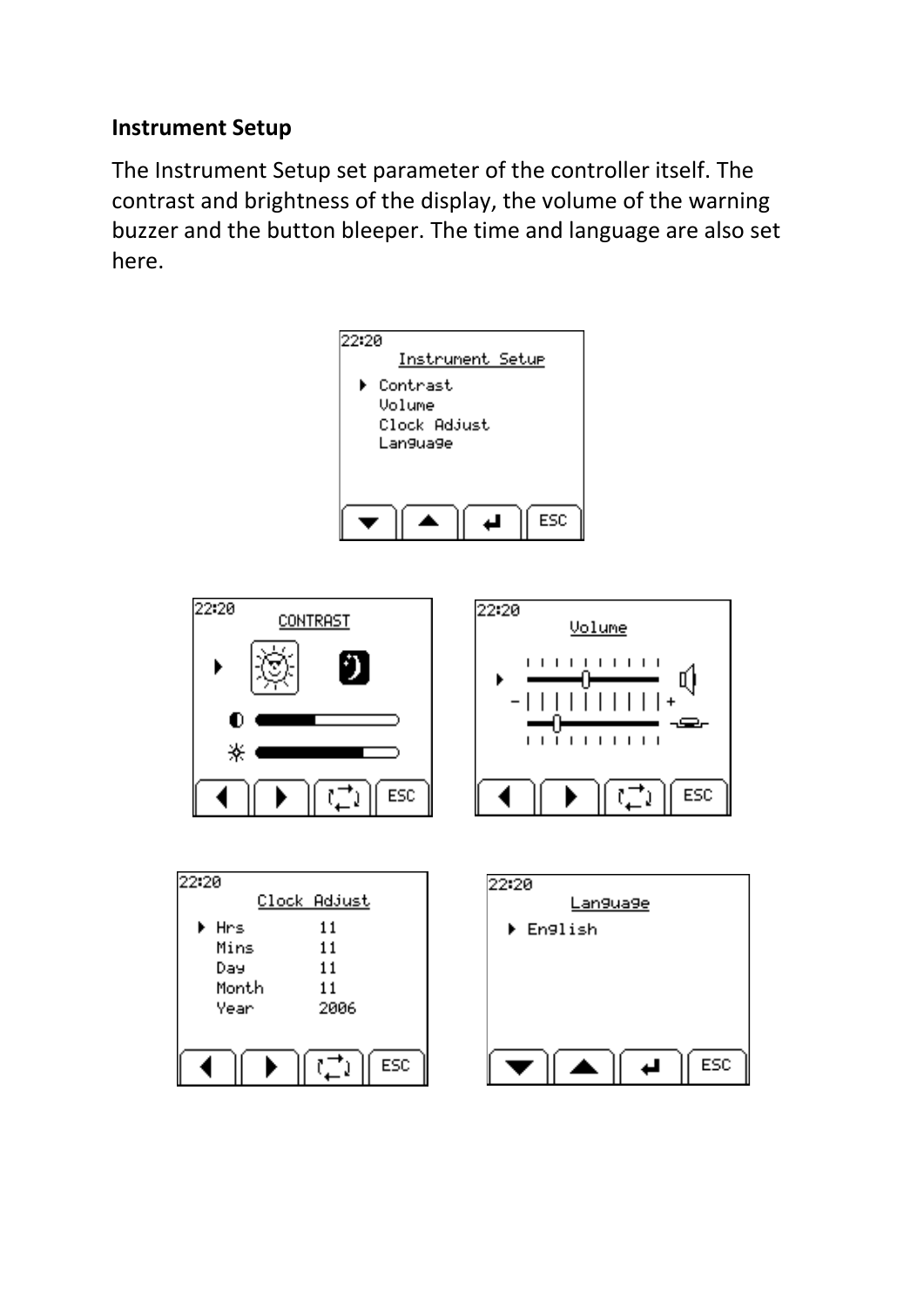# **Instrument Setup**

The Instrument Setup set parameter of the controller itself. The contrast and brightness of the display, the volume of the warning buzzer and the button bleeper. The time and language are also set here.

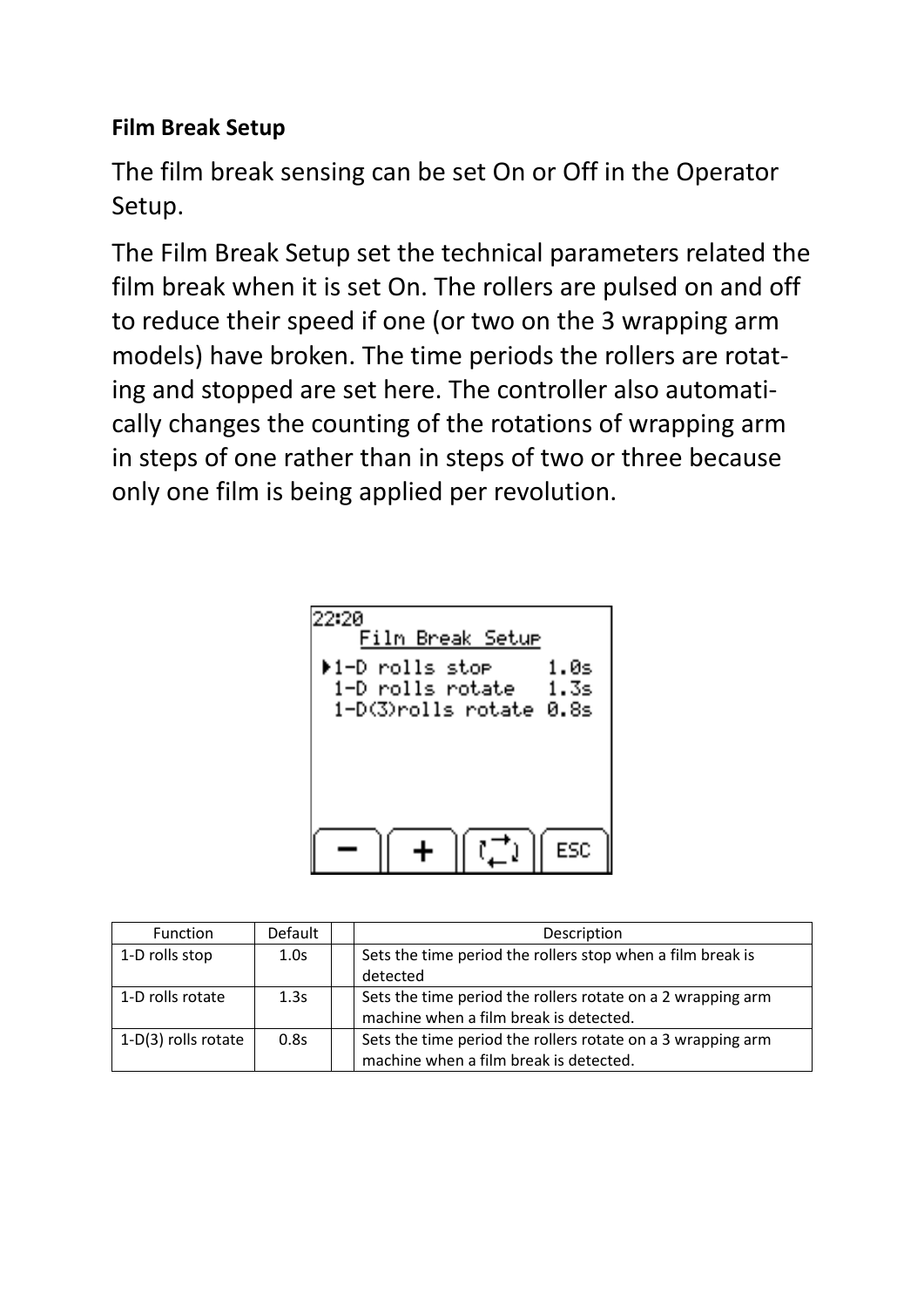# **Film Break Setup**

The film break sensing can be set On or Off in the Operator Setup.

The Film Break Setup set the technical parameters related the film break when it is set On. The rollers are pulsed on and off to reduce their speed if one (or two on the 3 wrapping arm models) have broken. The time periods the rollers are rotating and stopped are set here. The controller also automatically changes the counting of the rotations of wrapping arm in steps of one rather than in steps of two or three because only one film is being applied per revolution.

| 22.2A<br>Film Break Setur<br>▶1-D rolls sto <del>r</del><br>1.0s<br>1-D rolls rotate<br>- 1.3s<br>1-D(3)rolls rotate 0.8s |
|---------------------------------------------------------------------------------------------------------------------------|
| FSC                                                                                                                       |

| <b>Function</b>     | Default | Description                                                 |
|---------------------|---------|-------------------------------------------------------------|
| 1-D rolls stop      | 1.0s    | Sets the time period the rollers stop when a film break is  |
|                     |         | detected                                                    |
| 1-D rolls rotate    | 1.3s    | Sets the time period the rollers rotate on a 2 wrapping arm |
|                     |         | machine when a film break is detected.                      |
| 1-D(3) rolls rotate | 0.8s    | Sets the time period the rollers rotate on a 3 wrapping arm |
|                     |         | machine when a film break is detected.                      |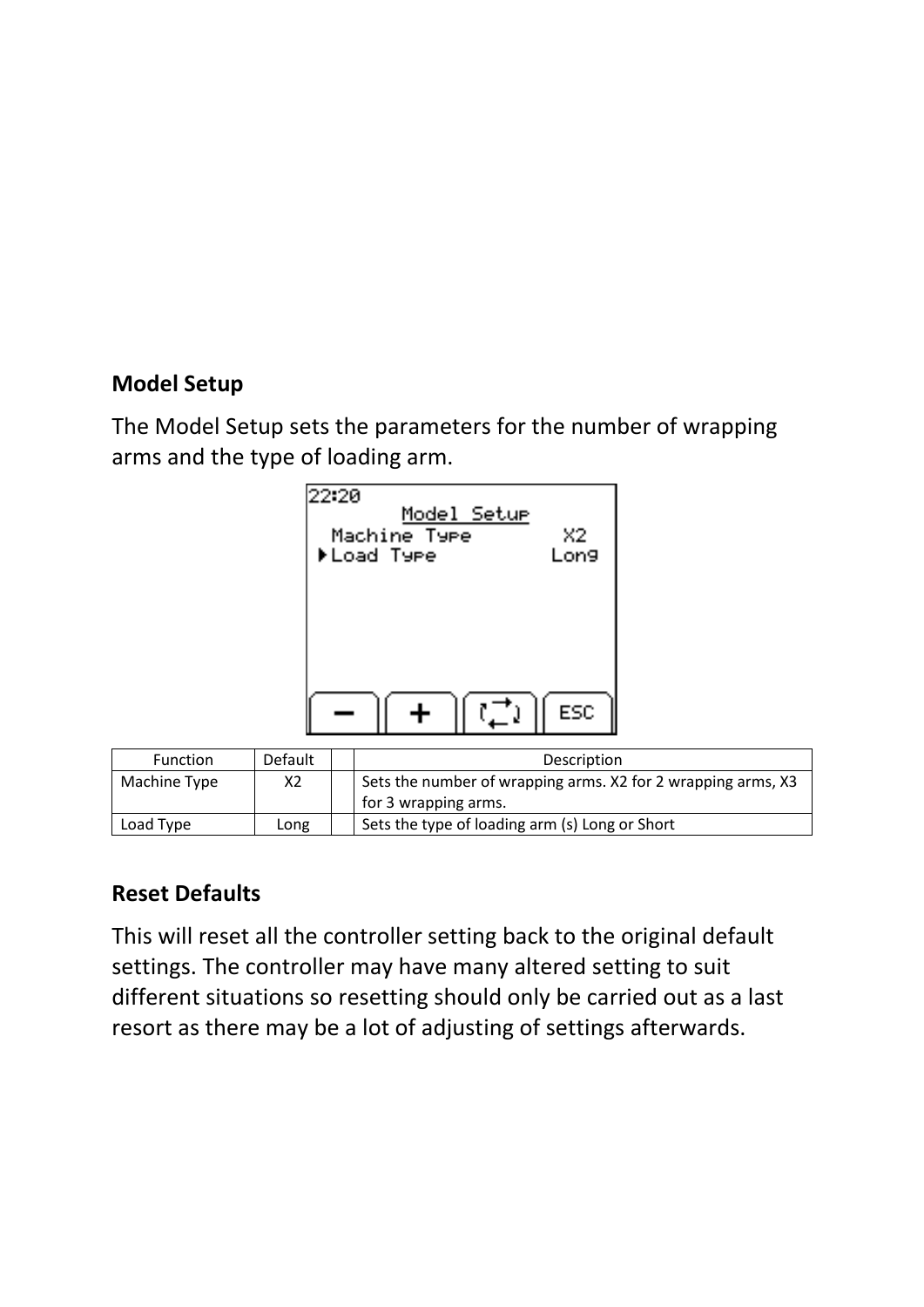# **Model Setup**

The Model Setup sets the parameters for the number of wrapping arms and the type of loading arm.



| <b>Function</b> | Default | Description                                                  |
|-----------------|---------|--------------------------------------------------------------|
| Machine Type    | Х2      | Sets the number of wrapping arms. X2 for 2 wrapping arms, X3 |
|                 |         | for 3 wrapping arms.                                         |
| Load Type       | Long    | Sets the type of loading arm (s) Long or Short               |

# **Reset Defaults**

This will reset all the controller setting back to the original default settings. The controller may have many altered setting to suit different situations so resetting should only be carried out as a last resort as there may be a lot of adjusting of settings afterwards.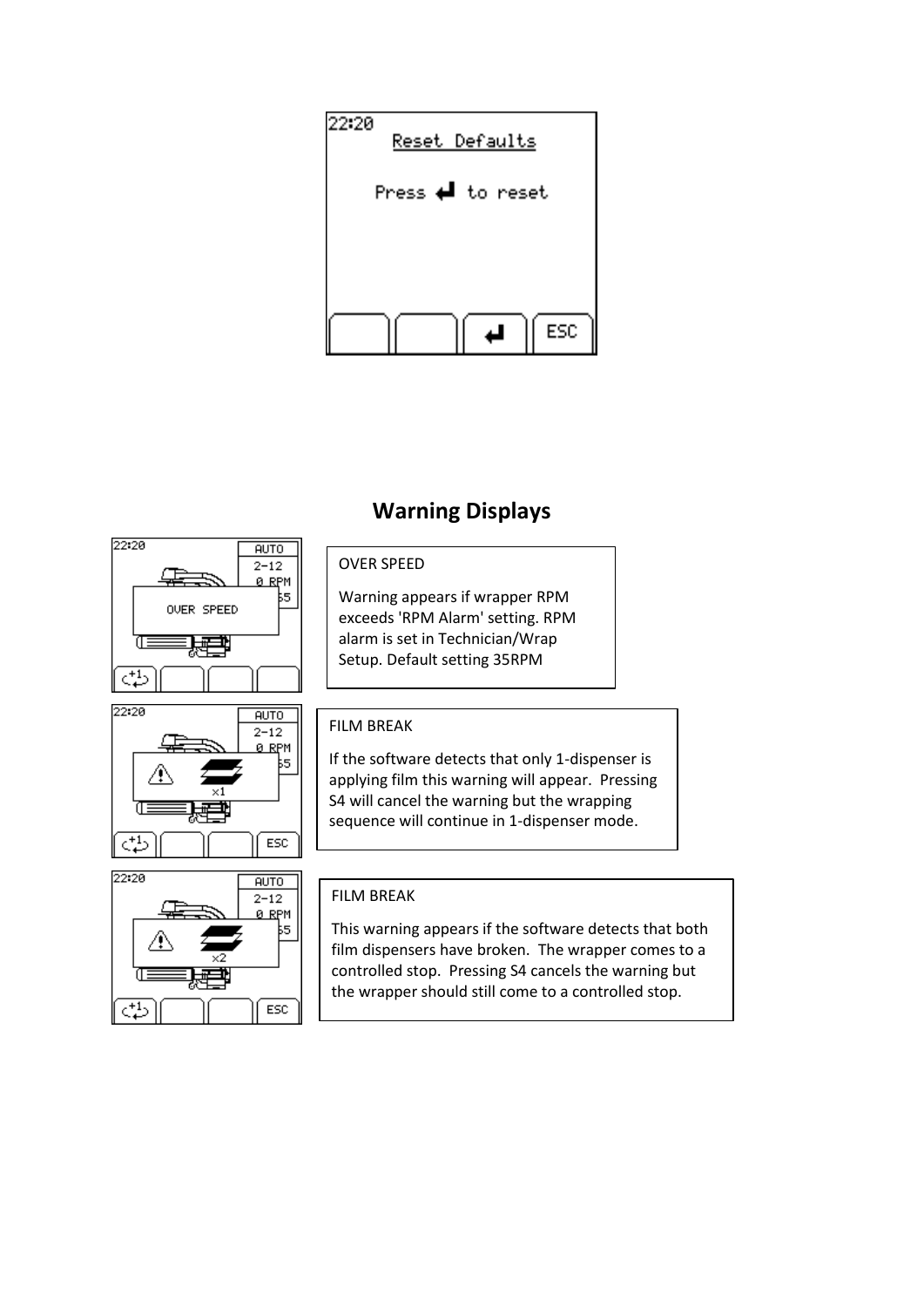

# **Warning Displays**







#### OVER SPEED

Warning appears if wrapper RPM exceeds 'RPM Alarm' setting. RPM alarm is set in Technician/Wrap Setup. Default setting 35RPM

#### FILM BREAK

If the software detects that only 1-dispenser is applying film this warning will appear. Pressing S4 will cancel the warning but the wrapping sequence will continue in 1-dispenser mode.

#### FILM BREAK

This warning appears if the software detects that both film dispensers have broken. The wrapper comes to a controlled stop. Pressing S4 cancels the warning but the wrapper should still come to a controlled stop.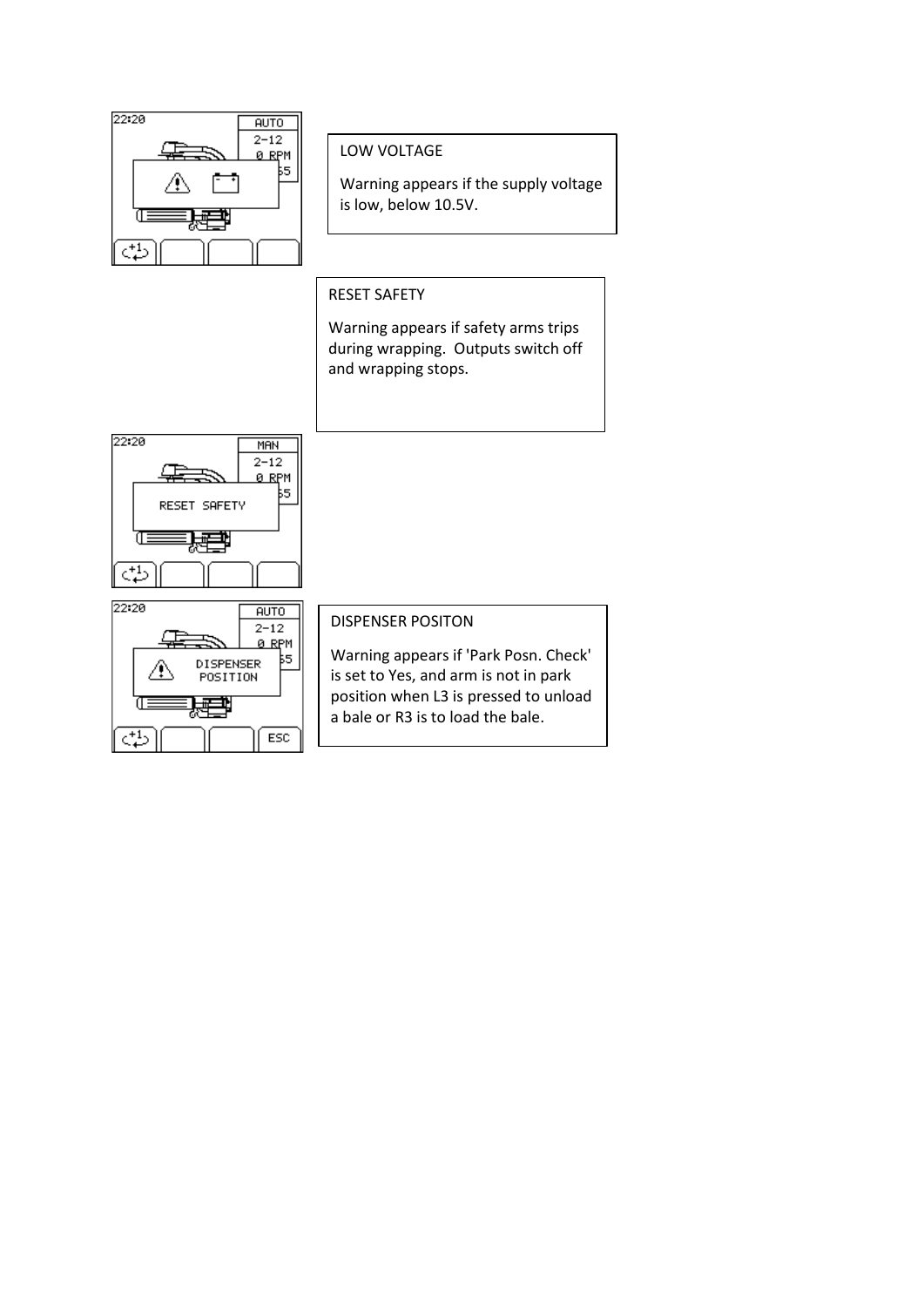

#### LOW VOLTAGE

Warning appears if the supply voltage is low, below 10.5V.

RESET SAFETY

Warning appears if safety arms trips during wrapping. Outputs switch off and wrapping stops.





#### DISPENSER POSITON

Warning appears if 'Park Posn. Check' is set to Yes, and arm is not in park position when L3 is pressed to unload a bale or R3 is to load the bale.